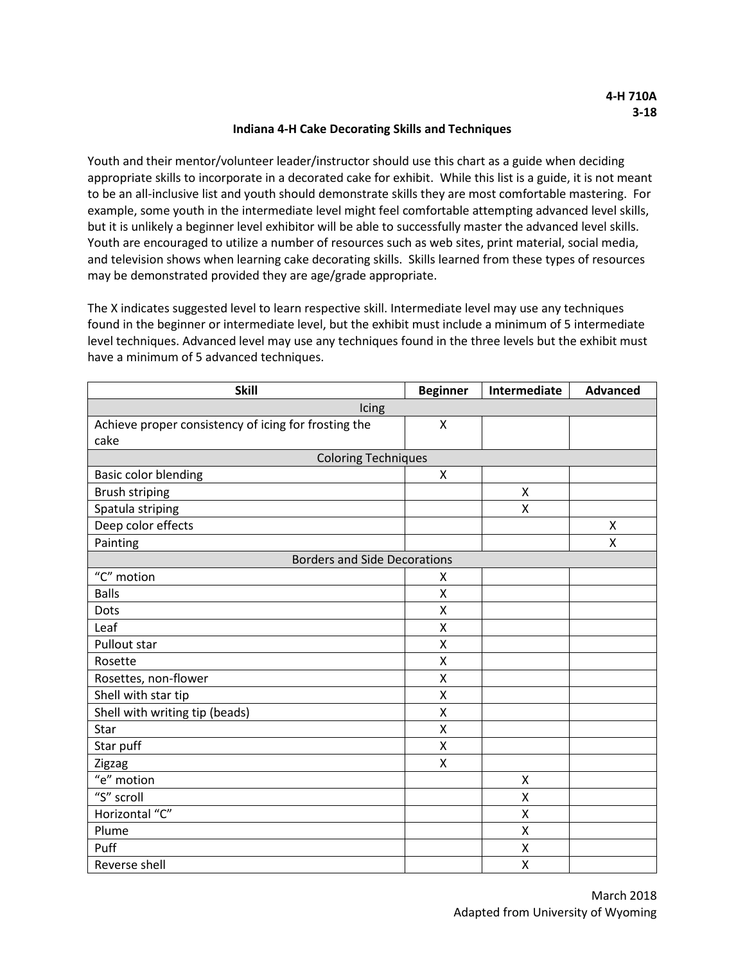## **Indiana 4-H Cake Decorating Skills and Techniques**

Youth and their mentor/volunteer leader/instructor should use this chart as a guide when deciding appropriate skills to incorporate in a decorated cake for exhibit. While this list is a guide, it is not meant to be an all-inclusive list and youth should demonstrate skills they are most comfortable mastering. For example, some youth in the intermediate level might feel comfortable attempting advanced level skills, but it is unlikely a beginner level exhibitor will be able to successfully master the advanced level skills. Youth are encouraged to utilize a number of resources such as web sites, print material, social media, and television shows when learning cake decorating skills. Skills learned from these types of resources may be demonstrated provided they are age/grade appropriate.

The X indicates suggested level to learn respective skill. Intermediate level may use any techniques found in the beginner or intermediate level, but the exhibit must include a minimum of 5 intermediate level techniques. Advanced level may use any techniques found in the three levels but the exhibit must have a minimum of 5 advanced techniques.

| <b>Skill</b>                                         | <b>Beginner</b>    | Intermediate | <b>Advanced</b> |
|------------------------------------------------------|--------------------|--------------|-----------------|
| Icing                                                |                    |              |                 |
| Achieve proper consistency of icing for frosting the | $\pmb{\mathsf{X}}$ |              |                 |
| cake                                                 |                    |              |                 |
| <b>Coloring Techniques</b>                           |                    |              |                 |
| <b>Basic color blending</b>                          | X                  |              |                 |
| Brush striping                                       |                    | Χ            |                 |
| Spatula striping                                     |                    | Χ            |                 |
| Deep color effects                                   |                    |              | X               |
| Painting                                             |                    |              | X               |
| <b>Borders and Side Decorations</b>                  |                    |              |                 |
| "C" motion                                           | X                  |              |                 |
| <b>Balls</b>                                         | X                  |              |                 |
| Dots                                                 | X                  |              |                 |
| Leaf                                                 | $\pmb{\mathsf{X}}$ |              |                 |
| <b>Pullout star</b>                                  | X                  |              |                 |
| Rosette                                              | Χ                  |              |                 |
| Rosettes, non-flower                                 | X                  |              |                 |
| Shell with star tip                                  | X                  |              |                 |
| Shell with writing tip (beads)                       | $\pmb{\mathsf{X}}$ |              |                 |
| Star                                                 | X                  |              |                 |
| Star puff                                            | $\pmb{\mathsf{X}}$ |              |                 |
| Zigzag                                               | X                  |              |                 |
| "e" motion                                           |                    | Χ            |                 |
| "S" scroll                                           |                    | X            |                 |
| Horizontal "C"                                       |                    | X            |                 |
| Plume                                                |                    | X            |                 |
| Puff                                                 |                    | X            |                 |
| Reverse shell                                        |                    | X            |                 |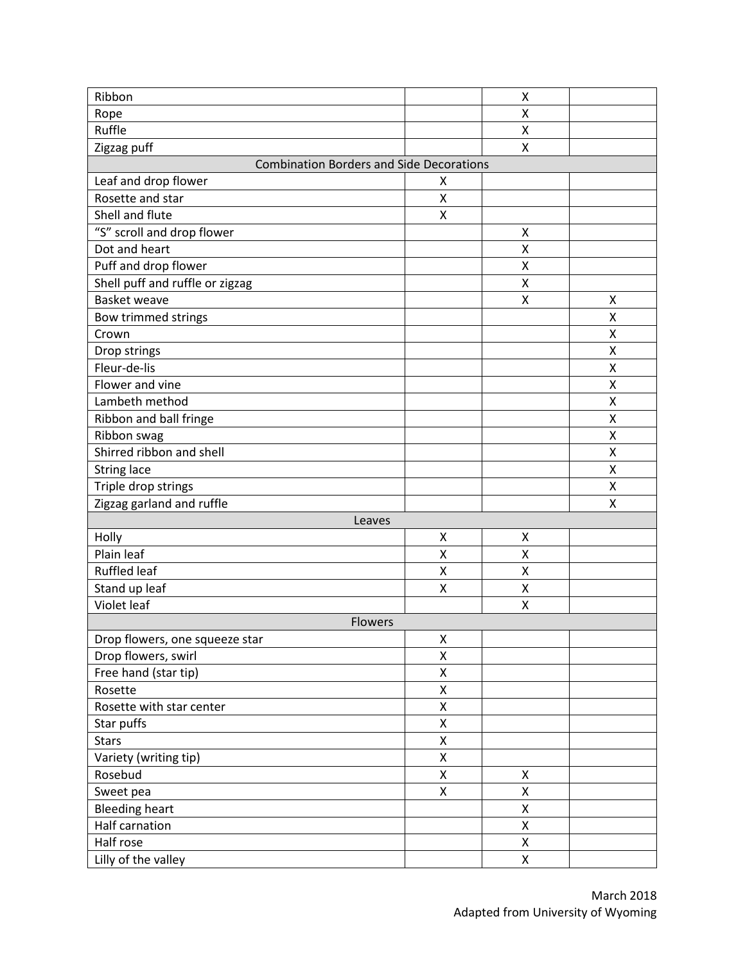| Ribbon                                          |                         | Χ |   |
|-------------------------------------------------|-------------------------|---|---|
| Rope                                            |                         | Χ |   |
| Ruffle                                          |                         | X |   |
| Zigzag puff                                     |                         | X |   |
| <b>Combination Borders and Side Decorations</b> |                         |   |   |
| Leaf and drop flower                            | Χ                       |   |   |
| Rosette and star                                | Χ                       |   |   |
| Shell and flute                                 | X                       |   |   |
| "S" scroll and drop flower                      |                         | Χ |   |
| Dot and heart                                   |                         | X |   |
| Puff and drop flower                            |                         | Χ |   |
| Shell puff and ruffle or zigzag                 |                         | X |   |
| Basket weave                                    |                         | Χ | X |
| Bow trimmed strings                             |                         |   | Χ |
| Crown                                           |                         |   | X |
| Drop strings                                    |                         |   | Χ |
| Fleur-de-lis                                    |                         |   | X |
| Flower and vine                                 |                         |   | X |
| Lambeth method                                  |                         |   | Χ |
| Ribbon and ball fringe                          |                         |   | Χ |
| Ribbon swag                                     |                         |   | X |
| Shirred ribbon and shell                        |                         |   | Χ |
| <b>String lace</b>                              |                         |   | Χ |
| Triple drop strings                             |                         |   | X |
| Zigzag garland and ruffle                       |                         |   | X |
| Leaves                                          |                         |   |   |
| Holly                                           | Χ                       | X |   |
| Plain leaf                                      | $\mathsf{\overline{X}}$ | X |   |
| <b>Ruffled leaf</b>                             | X                       | X |   |
| Stand up leaf                                   | Χ                       | X |   |
| Violet leaf                                     |                         | X |   |
| Flowers                                         |                         |   |   |
| Drop flowers, one squeeze star                  | Χ                       |   |   |
| Drop flowers, swirl                             | $\pmb{\mathsf{X}}$      |   |   |
| Free hand (star tip)                            | Χ                       |   |   |
| Rosette                                         | Χ                       |   |   |
| Rosette with star center                        | $\pmb{\mathsf{X}}$      |   |   |
| Star puffs                                      | $\pmb{\mathsf{X}}$      |   |   |
| <b>Stars</b>                                    | Χ                       |   |   |
| Variety (writing tip)                           | Χ                       |   |   |
| Rosebud                                         | Χ                       | Χ |   |
| Sweet pea                                       | X                       | Χ |   |
| <b>Bleeding heart</b>                           |                         | Χ |   |
| Half carnation                                  |                         | Χ |   |
| Half rose                                       |                         | Χ |   |
| Lilly of the valley                             |                         | X |   |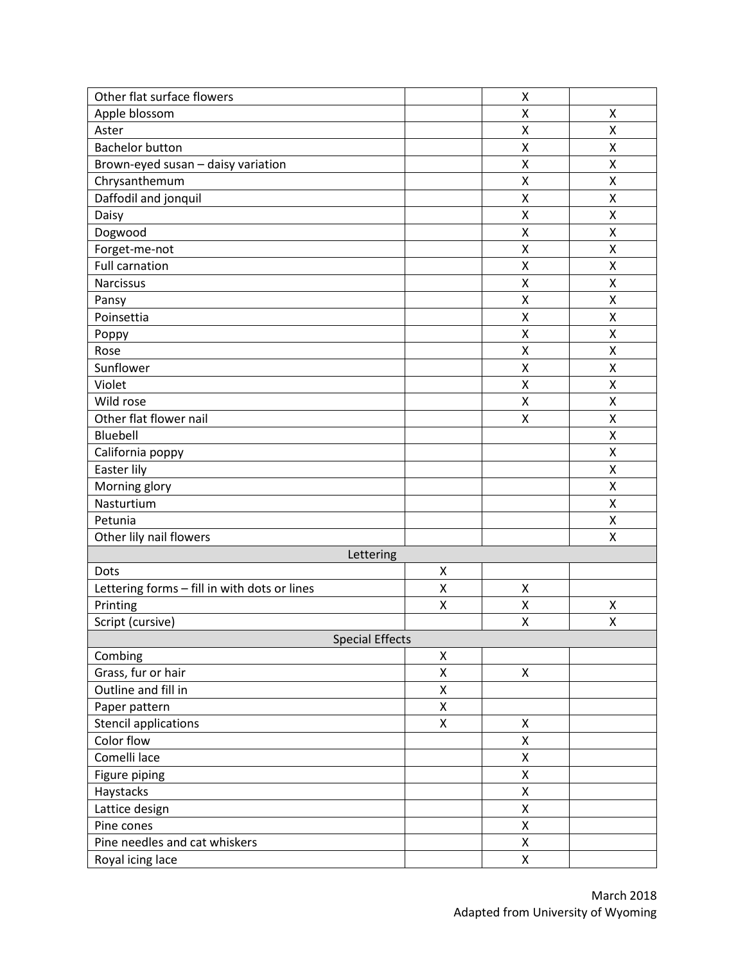| Other flat surface flowers                   |   | Χ                  |                    |
|----------------------------------------------|---|--------------------|--------------------|
| Apple blossom                                |   | Χ                  | X                  |
| Aster                                        |   | $\pmb{\mathsf{X}}$ | Χ                  |
| <b>Bachelor button</b>                       |   | $\pmb{\mathsf{X}}$ | $\pmb{\mathsf{X}}$ |
| Brown-eyed susan - daisy variation           |   | X                  | X                  |
| Chrysanthemum                                |   | $\pmb{\mathsf{X}}$ | X                  |
| Daffodil and jonquil                         |   | Χ                  | Χ                  |
| Daisy                                        |   | Χ                  | Χ                  |
| Dogwood                                      |   | X                  | X                  |
| Forget-me-not                                |   | Χ                  | X                  |
| <b>Full carnation</b>                        |   | X                  | Χ                  |
| Narcissus                                    |   | X                  | X                  |
| Pansy                                        |   | Χ                  | Χ                  |
| Poinsettia                                   |   | X                  | Χ                  |
| Poppy                                        |   | X                  | $\pmb{\mathsf{X}}$ |
| Rose                                         |   | X                  | $\pmb{\mathsf{X}}$ |
| Sunflower                                    |   | Χ                  | X                  |
| Violet                                       |   | X                  | X                  |
| Wild rose                                    |   | Χ                  | Χ                  |
| Other flat flower nail                       |   | Χ                  | X                  |
| Bluebell                                     |   |                    | Χ                  |
| California poppy                             |   |                    | X                  |
| Easter lily                                  |   |                    | X                  |
| Morning glory                                |   |                    | Χ                  |
| Nasturtium                                   |   |                    | X                  |
| Petunia                                      |   |                    | X                  |
| Other lily nail flowers                      |   |                    | Χ                  |
| Lettering                                    |   |                    |                    |
| Dots                                         | Χ |                    |                    |
| Lettering forms - fill in with dots or lines | X | $\pmb{\mathsf{X}}$ |                    |
| Printing                                     | Χ | Χ                  | X                  |
| Script (cursive)                             |   | $\pmb{\mathsf{X}}$ | Χ                  |
| <b>Special Effects</b>                       |   |                    |                    |
| Combing                                      | X |                    |                    |
| Grass, fur or hair                           | Χ | X                  |                    |
| Outline and fill in                          | X |                    |                    |
| Paper pattern                                | X |                    |                    |
| <b>Stencil applications</b>                  | Χ | X                  |                    |
| Color flow                                   |   | Χ                  |                    |
| Comelli lace                                 |   | Χ                  |                    |
| Figure piping                                |   | X                  |                    |
| Haystacks                                    |   | Χ                  |                    |
| Lattice design                               |   | $\pmb{\mathsf{X}}$ |                    |
| Pine cones                                   |   | X                  |                    |
| Pine needles and cat whiskers                |   | X                  |                    |
| Royal icing lace                             |   | Χ                  |                    |